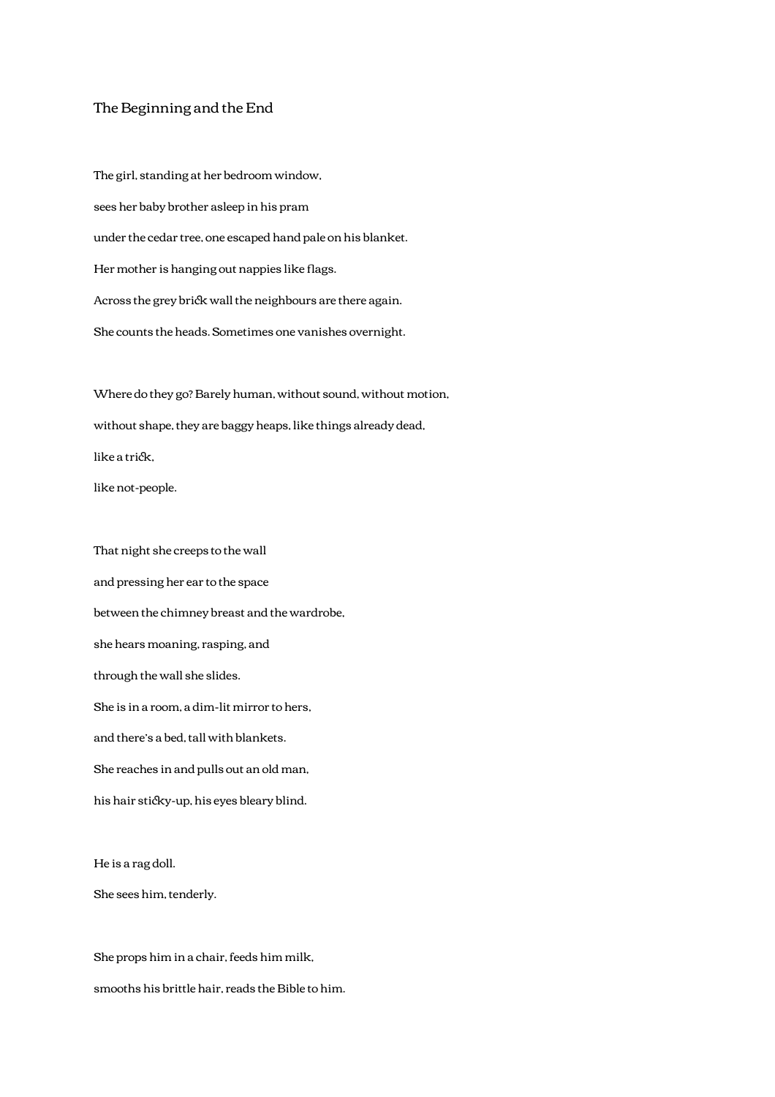## The Beginning and the End

The girl, standing at her bedroom window, sees her baby brother asleep in his pram under the cedar tree, one escaped hand pale on his blanket. Her mother is hanging out nappies like flags. Across the grey brick wall the neighbours are there again. She counts the heads. Sometimes one vanishes overnight.

Where do they go? Barely human, without sound, without motion, without shape, they are baggy heaps, like things already dead, like a trick, like not-people.

That night she creeps to the wall and pressing her ear to the space between the chimney breast and the wardrobe, she hears moaning, rasping, and through the wall she slides. She is in a room, a dim-lit mirror to hers, and there's a bed, tall with blankets. She reaches in and pulls out an old man, his hair sticky-up, his eyes bleary blind.

He is a rag doll.

She sees him, tenderly.

She props him in a chair, feeds him milk, smooths his brittle hair, reads the Bible to him.